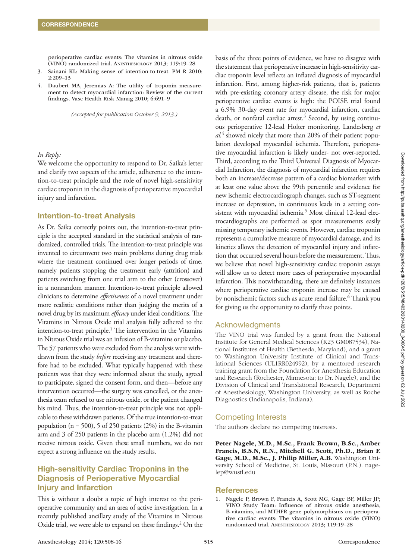perioperative cardiac events: The vitamins in nitrous oxide (VINO) randomized trial. Anesthesiology 2013; 119:19–28

- 3. Sainani KL: Making sense of intention-to-treat. PM R 2010; 2:209–13
- 4. Daubert MA, Jeremias A: The utility of troponin measurement to detect myocardial infarction: Review of the current findings. Vasc Health Risk Manag 2010; 6:691–9

*(Accepted for publication October 9, 2013.)*

#### *In Reply:*

We welcome the opportunity to respond to Dr. Saika's letter and clarify two aspects of the article, adherence to the intention-to-treat principle and the role of novel high-sensitivity cardiac troponin in the diagnosis of perioperative myocardial injury and infarction.

#### Intention-to-treat Analysis

As Dr. Saika correctly points out, the intention-to-treat principle is the accepted standard in the statistical analysis of randomized, controlled trials. The intention-to-treat principle was invented to circumvent two main problems during drug trials where the treatment continued over longer periods of time, namely patients stopping the treatment early (attrition) and patients switching from one trial arm to the other (crossover) in a nonrandom manner. Intention-to-treat principle allowed clinicians to determine *effectiveness* of a novel treatment under more realistic conditions rather than judging the merits of a novel drug by its maximum *efficacy* under ideal conditions. The Vitamins in Nitrous Oxide trial analysis fully adhered to the intention-to-treat principle.<sup>1</sup> The intervention in the Vitamins in Nitrous Oxide trial was an infusion of B-vitamins or placebo. The 57 patients who were excluded from the analysis were withdrawn from the study *before* receiving any treatment and therefore had to be excluded. What typically happened with these patients was that they were informed about the study, agreed to participate, signed the consent form, and then—before any intervention occurred—the surgery was cancelled, or the anesthesia team refused to use nitrous oxide, or the patient changed his mind. Thus, the intention-to-treat principle was not applicable to these withdrawn patients. Of the true intention-to-treat population ( $n = 500$ ), 5 of 250 patients (2%) in the B-vitamin arm and 3 of 250 patients in the placebo arm (1.2%) did not receive nitrous oxide. Given these small numbers, we do not expect a strong influence on the study results.

# High-sensitivity Cardiac Troponins in the Diagnosis of Perioperative Myocardial Injury and Infarction

This is without a doubt a topic of high interest to the perioperative community and an area of active investigation. In a recently published ancillary study of the Vitamins in Nitrous Oxide trial, we were able to expand on these findings.2 On the

basis of the three points of evidence, we have to disagree with the statement that perioperative increase in high-sensitivity cardiac troponin level reflects an inflated diagnosis of myocardial infarction. First, among higher-risk patients, that is, patients with pre-existing coronary artery disease, the risk for major perioperative cardiac events is high: the POISE trial found a 6.9% 30-day event rate for myocardial infarction, cardiac death, or nonfatal cardiac arrest.<sup>3</sup> Second, by using continuous perioperative 12-lead Holter monitoring, Landesberg *et al.*<sup>4</sup> showed nicely that more than 20% of their patient population developed myocardial ischemia. Therefore, perioperative myocardial infarction is likely under- not over-reported. Third, according to the Third Universal Diagnosis of Myocardial Infarction, the diagnosis of myocardial infarction requires both an increase/decrease pattern of a cardiac biomarker with at least one value above the 99th percentile and evidence for new ischemic electrocardiograph changes, such as ST-segment increase or depression, in continuous leads in a setting consistent with myocardial ischemia.<sup>5</sup> Most clinical 12-lead electrocardiographs are performed as spot measurements easily missing temporary ischemic events. However, cardiac troponin represents a cumulative measure of myocardial damage, and its kinetics allows the detection of myocardial injury and infarction that occurred several hours before the measurement. Thus, we believe that novel high-sensitivity cardiac troponin assays will allow us to detect more cases of perioperative myocardial infarction. This notwithstanding, there are definitely instances where perioperative cardiac troponin increase may be caused by nonischemic factors such as acute renal failure.6 Thank you for giving us the opportunity to clarify these points.

## Acknowledgments

The VINO trial was funded by a grant from the National Institute for General Medical Sciences (K23 GM087534), National Institutes of Health (Bethesda, Maryland), and a grant to Washington University Institute of Clinical and Translational Sciences (UL1RR024992), by a mentored research training grant from the Foundation for Anesthesia Education and Research (Rochester, Minnesota; to Dr. Nagele), and the Division of Clinical and Translational Research, Department of Anesthesiology, Washington University, as well as Roche Diagnostics (Indianapolis, Indiana).

## Competing Interests

The authors declare no competing interests.

Peter Nagele, M.D., M.Sc., Frank Brown, B.Sc., Amber Francis, B.S.N, R.N., Mitchell G. Scott, Ph.D., Brian F. Gage, M.D., M.Sc., J. Philip Miller, A.B. Washington University School of Medicine, St. Louis, Missouri (P.N.). [nage](mailto:nagelep@wustl.edu)[lep@wustl.edu](mailto:nagelep@wustl.edu) 

#### References

1. Nagele P, Brown F, Francis A, Scott MG, Gage BF, Miller JP; VINO Study Team: Influence of nitrous oxide anesthesia, B-vitamins, and MTHFR gene polymorphisms on perioperative cardiac events: The vitamins in nitrous oxide (VINO) randomized trial. Anesthesiology 2013; 119:19–28